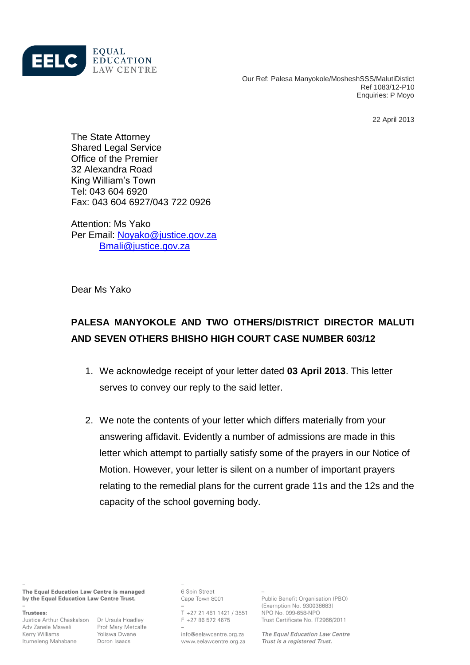

Our Ref: Palesa Manyokole/MosheshSSS/MalutiDistict Ref 1083/12-P10 Enquiries: P Moyo

22 April 2013

The State Attorney Shared Legal Service Office of the Premier 32 Alexandra Road King William's Town Tel: 043 604 6920 Fax: 043 604 6927/043 722 0926

Attention: Ms Yako Per Email: [Noyako@justice.gov.za](mailto:Noyako@justice.gov.za) [Bmali@justice.gov.za](mailto:Bmali@justice.gov.za)

Dear Ms Yako

# **PALESA MANYOKOLE AND TWO OTHERS/DISTRICT DIRECTOR MALUTI AND SEVEN OTHERS BHISHO HIGH COURT CASE NUMBER 603/12**

- 1. We acknowledge receipt of your letter dated **03 April 2013**. This letter serves to convey our reply to the said letter.
- 2. We note the contents of your letter which differs materially from your answering affidavit. Evidently a number of admissions are made in this letter which attempt to partially satisfy some of the prayers in our Notice of Motion. However, your letter is silent on a number of important prayers relating to the remedial plans for the current grade 11s and the 12s and the capacity of the school governing body.

The Equal Education Law Centre is managed by the Equal Education Law Centre Trust.

#### Trustees:

Justice Arthur Chaskalson Dr Ursula Hoadley Adv Zanele Msweli Prof Mary Metcalfe Kerry Williams Itumeleng Mahabane

Yoliswa Dwane Doron Isaacs

6 Spin Street Cape Town 8001

T +27 21 461 1421 / 3551 F +27 86 572 4675

info@eelawcentre.org.za www.eelawcentre.org.za Public Benefit Organisation (PBO) (Exemption No. 930038683) NPO No. 099-658-NPO Trust Certificate No. IT2966/2011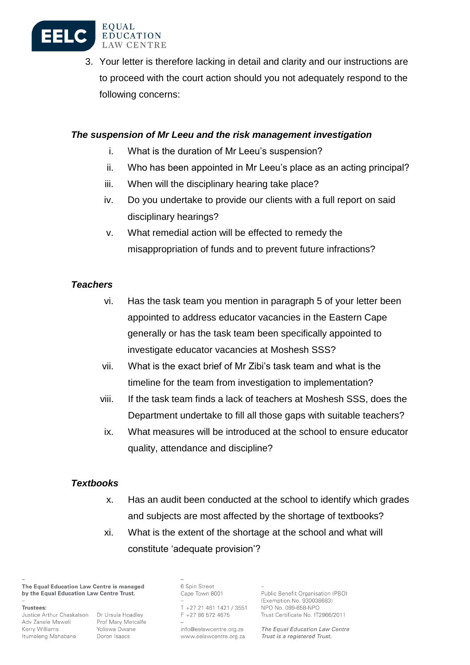

3. Your letter is therefore lacking in detail and clarity and our instructions are to proceed with the court action should you not adequately respond to the following concerns:

## *The suspension of Mr Leeu and the risk management investigation*

- i. What is the duration of Mr Leeu's suspension?
- ii. Who has been appointed in Mr Leeu's place as an acting principal?
- iii. When will the disciplinary hearing take place?
- iv. Do you undertake to provide our clients with a full report on said disciplinary hearings?
- v. What remedial action will be effected to remedy the misappropriation of funds and to prevent future infractions?

### *Teachers*

- vi. Has the task team you mention in paragraph 5 of your letter been appointed to address educator vacancies in the Eastern Cape generally or has the task team been specifically appointed to investigate educator vacancies at Moshesh SSS?
- vii. What is the exact brief of Mr Zibi's task team and what is the timeline for the team from investigation to implementation?
- viii. If the task team finds a lack of teachers at Moshesh SSS, does the Department undertake to fill all those gaps with suitable teachers?
- ix. What measures will be introduced at the school to ensure educator quality, attendance and discipline?

### *Textbooks*

- x. Has an audit been conducted at the school to identify which grades and subjects are most affected by the shortage of textbooks?
- xi. What is the extent of the shortage at the school and what will constitute 'adequate provision'?

The Equal Education Law Centre is managed by the Equal Education Law Centre Trust.

Trustees:

Adv Zanele Msweli Prof Mary Metcalfe Kerry Williams Itumeleng Mahabane

Justice Arthur Chaskalson Dr Ursula Hoadley Yoliswa Dwane Doron Isaacs

6 Spin Street Cape Town 8001

T +27 21 461 1421 / 3551 F +27 86 572 4675

info@eelawcentre.org.za www.eelawcentre.org.za Public Benefit Organisation (PBO) (Exemption No. 930038683) NPO No. 099-658-NPO Trust Certificate No. IT2966/2011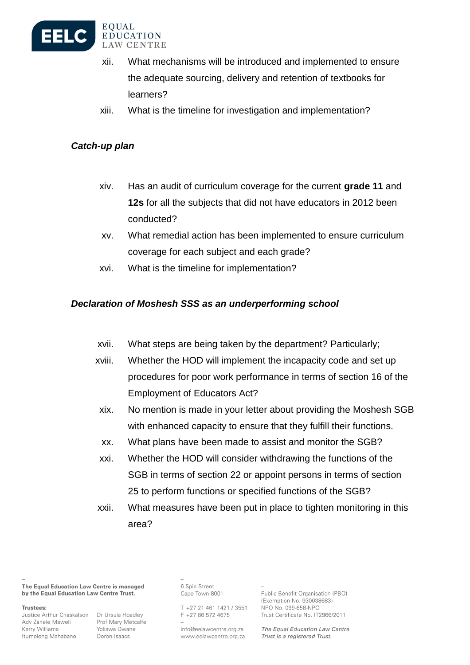

- xii. What mechanisms will be introduced and implemented to ensure the adequate sourcing, delivery and retention of textbooks for learners?
- xiii. What is the timeline for investigation and implementation?

# *Catch-up plan*

- xiv. Has an audit of curriculum coverage for the current **grade 11** and **12s** for all the subjects that did not have educators in 2012 been conducted?
- xv. What remedial action has been implemented to ensure curriculum coverage for each subject and each grade?
- xvi. What is the timeline for implementation?

# *Declaration of Moshesh SSS as an underperforming school*

- xvii. What steps are being taken by the department? Particularly;
- xviii. Whether the HOD will implement the incapacity code and set up procedures for poor work performance in terms of section 16 of the Employment of Educators Act?
- xix. No mention is made in your letter about providing the Moshesh SGB with enhanced capacity to ensure that they fulfill their functions.
- xx. What plans have been made to assist and monitor the SGB?
- xxi. Whether the HOD will consider withdrawing the functions of the SGB in terms of section 22 or appoint persons in terms of section 25 to perform functions or specified functions of the SGB?
- xxii. What measures have been put in place to tighten monitoring in this area?

The Equal Education Law Centre is managed by the Equal Education Law Centre Trust.

Trustees:

Justice Arthur Chaskalson Dr Ursula Hoadley Adv Zanele Msweli Kerry Williams Itumeleng Mahabane

Prof Mary Metcalfe Yoliswa Dwane Doron Isaacs

6 Spin Street Cape Town 8001

T +27 21 461 1421 / 3551  $F$  +27 86 572 4675

info@eelawcentre.org.za www.eelawcentre.org.za Public Benefit Organisation (PBO) (Exemption No. 930038683) NPO No. 099-658-NPO Trust Certificate No. IT2966/2011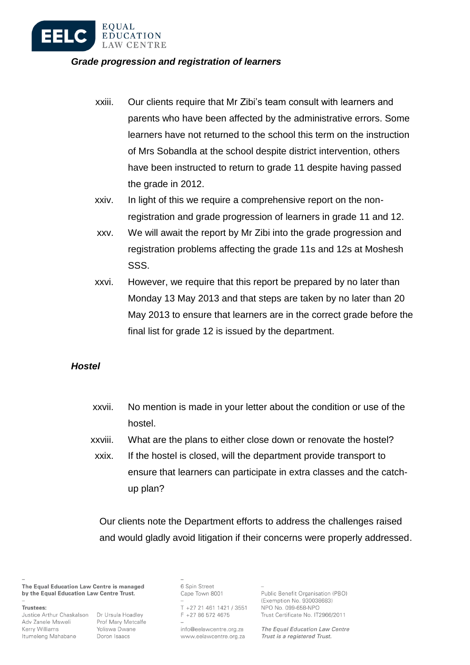

#### *Grade progression and registration of learners*

- xxiii. Our clients require that Mr Zibi's team consult with learners and parents who have been affected by the administrative errors. Some learners have not returned to the school this term on the instruction of Mrs Sobandla at the school despite district intervention, others have been instructed to return to grade 11 despite having passed the grade in 2012.
- xxiv. In light of this we require a comprehensive report on the nonregistration and grade progression of learners in grade 11 and 12.
- xxv. We will await the report by Mr Zibi into the grade progression and registration problems affecting the grade 11s and 12s at Moshesh SSS.
- xxvi. However, we require that this report be prepared by no later than Monday 13 May 2013 and that steps are taken by no later than 20 May 2013 to ensure that learners are in the correct grade before the final list for grade 12 is issued by the department.

### *Hostel*

- xxvii. No mention is made in your letter about the condition or use of the hostel.
- xxviii. What are the plans to either close down or renovate the hostel?
- xxix. If the hostel is closed, will the department provide transport to ensure that learners can participate in extra classes and the catchup plan?

Our clients note the Department efforts to address the challenges raised and would gladly avoid litigation if their concerns were properly addressed.

The Equal Education Law Centre is managed by the Equal Education Law Centre Trust.

Trustees:

Justice Arthur Chaskalson Dr Ursula Hoadley Adv Zanele Msweli Kerry Williams Itumeleng Mahabane

Prof Mary Metcalfe Yoliswa Dwane Doron Isaacs

6 Spin Street Cape Town 8001

T +27 21 461 1421 / 3551 F +27 86 572 4675

info@eelawcentre.org.za www.eelawcentre.org.za Public Benefit Organisation (PBO) (Exemption No. 930038683) NPO No. 099-658-NPO Trust Certificate No. IT2966/2011